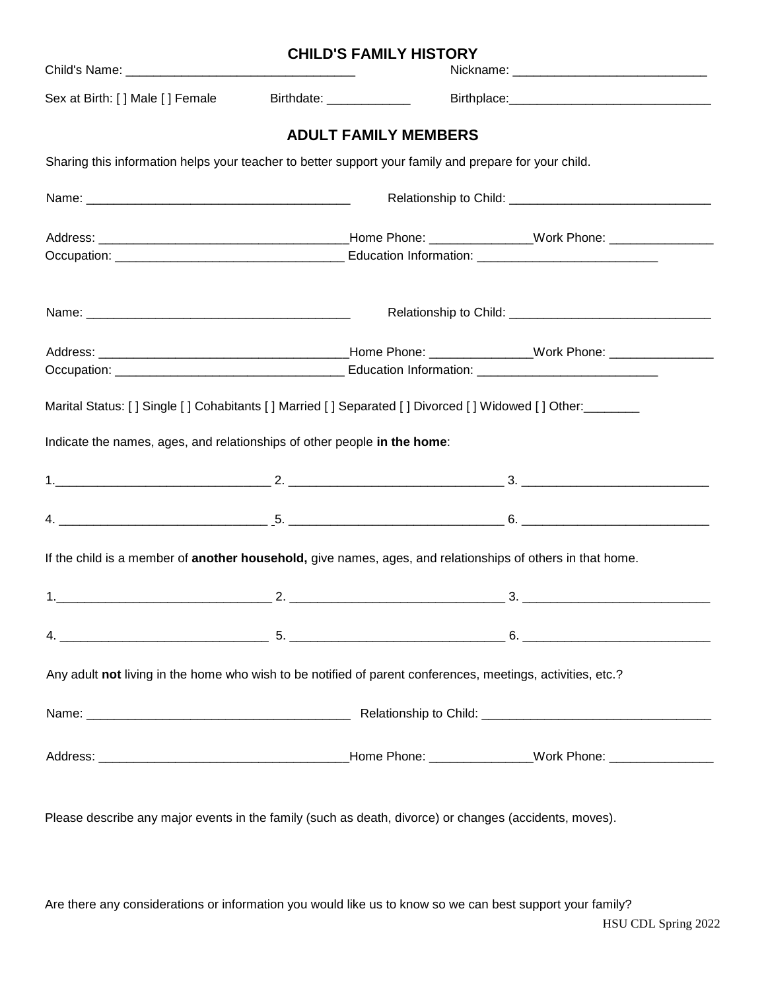|                                                                                                                                                                                                                                                                                             | <b>CHILD'S FAMILY HISTORY</b> |                             |  |
|---------------------------------------------------------------------------------------------------------------------------------------------------------------------------------------------------------------------------------------------------------------------------------------------|-------------------------------|-----------------------------|--|
| Sex at Birth: [ ] Male [ ] Female                                                                                                                                                                                                                                                           | Birthdate: ______________     |                             |  |
|                                                                                                                                                                                                                                                                                             |                               | <b>ADULT FAMILY MEMBERS</b> |  |
| Sharing this information helps your teacher to better support your family and prepare for your child.                                                                                                                                                                                       |                               |                             |  |
|                                                                                                                                                                                                                                                                                             |                               |                             |  |
|                                                                                                                                                                                                                                                                                             |                               |                             |  |
|                                                                                                                                                                                                                                                                                             |                               |                             |  |
|                                                                                                                                                                                                                                                                                             |                               |                             |  |
|                                                                                                                                                                                                                                                                                             |                               |                             |  |
|                                                                                                                                                                                                                                                                                             |                               |                             |  |
|                                                                                                                                                                                                                                                                                             |                               |                             |  |
|                                                                                                                                                                                                                                                                                             |                               |                             |  |
|                                                                                                                                                                                                                                                                                             |                               |                             |  |
|                                                                                                                                                                                                                                                                                             |                               |                             |  |
| Marital Status: [] Single [] Cohabitants [] Married [] Separated [] Divorced [] Widowed [] Other:<br>Indicate the names, ages, and relationships of other people in the home:<br>If the child is a member of another household, give names, ages, and relationships of others in that home. |                               |                             |  |
|                                                                                                                                                                                                                                                                                             |                               |                             |  |
|                                                                                                                                                                                                                                                                                             |                               |                             |  |
| Any adult not living in the home who wish to be notified of parent conferences, meetings, activities, etc.?                                                                                                                                                                                 |                               |                             |  |

Are there any considerations or information you would like us to know so we can best support your family?